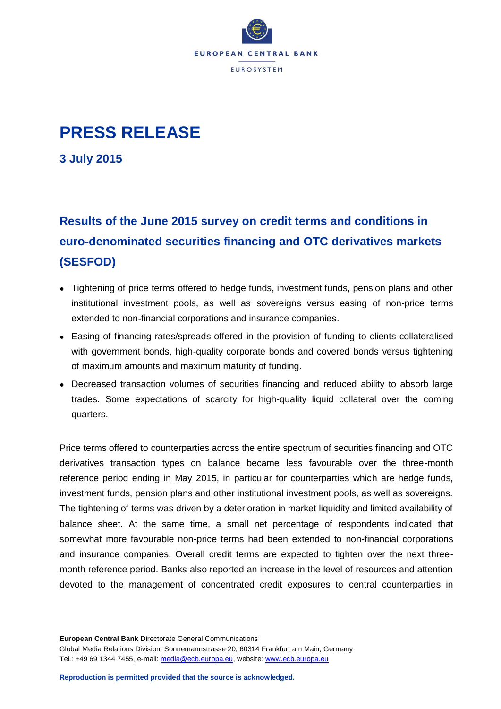

## **PRESS RELEASE**

**3 July 2015**

## **Results of the June 2015 survey on credit terms and conditions in euro-denominated securities financing and OTC derivatives markets (SESFOD)**

- Tightening of price terms offered to hedge funds, investment funds, pension plans and other institutional investment pools, as well as sovereigns versus easing of non-price terms extended to non-financial corporations and insurance companies.
- Easing of financing rates/spreads offered in the provision of funding to clients collateralised with government bonds, high-quality corporate bonds and covered bonds versus tightening of maximum amounts and maximum maturity of funding.
- Decreased transaction volumes of securities financing and reduced ability to absorb large trades. Some expectations of scarcity for high-quality liquid collateral over the coming quarters.

Price terms offered to counterparties across the entire spectrum of securities financing and OTC derivatives transaction types on balance became less favourable over the three-month reference period ending in May 2015, in particular for counterparties which are hedge funds, investment funds, pension plans and other institutional investment pools, as well as sovereigns. The tightening of terms was driven by a deterioration in market liquidity and limited availability of balance sheet. At the same time, a small net percentage of respondents indicated that somewhat more favourable non-price terms had been extended to non-financial corporations and insurance companies. Overall credit terms are expected to tighten over the next threemonth reference period. Banks also reported an increase in the level of resources and attention devoted to the management of concentrated credit exposures to central counterparties in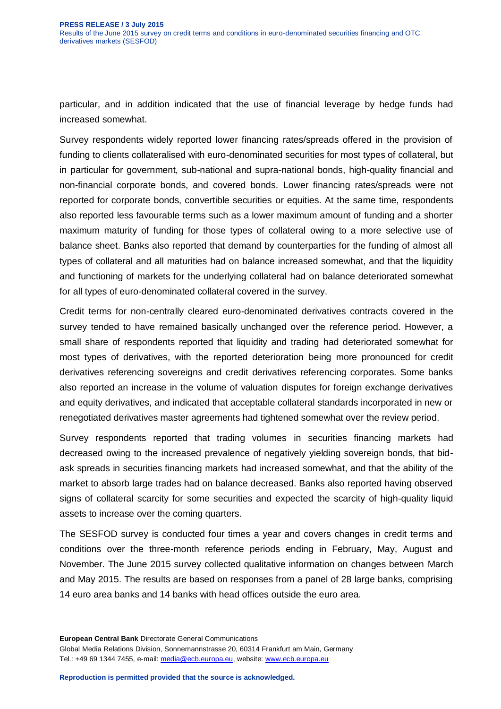particular, and in addition indicated that the use of financial leverage by hedge funds had increased somewhat.

Survey respondents widely reported lower financing rates/spreads offered in the provision of funding to clients collateralised with euro-denominated securities for most types of collateral, but in particular for government, sub-national and supra-national bonds, high-quality financial and non-financial corporate bonds, and covered bonds. Lower financing rates/spreads were not reported for corporate bonds, convertible securities or equities. At the same time, respondents also reported less favourable terms such as a lower maximum amount of funding and a shorter maximum maturity of funding for those types of collateral owing to a more selective use of balance sheet. Banks also reported that demand by counterparties for the funding of almost all types of collateral and all maturities had on balance increased somewhat, and that the liquidity and functioning of markets for the underlying collateral had on balance deteriorated somewhat for all types of euro-denominated collateral covered in the survey.

Credit terms for non-centrally cleared euro-denominated derivatives contracts covered in the survey tended to have remained basically unchanged over the reference period. However, a small share of respondents reported that liquidity and trading had deteriorated somewhat for most types of derivatives, with the reported deterioration being more pronounced for credit derivatives referencing sovereigns and credit derivatives referencing corporates. Some banks also reported an increase in the volume of valuation disputes for foreign exchange derivatives and equity derivatives, and indicated that acceptable collateral standards incorporated in new or renegotiated derivatives master agreements had tightened somewhat over the review period.

Survey respondents reported that trading volumes in securities financing markets had decreased owing to the increased prevalence of negatively yielding sovereign bonds, that bidask spreads in securities financing markets had increased somewhat, and that the ability of the market to absorb large trades had on balance decreased. Banks also reported having observed signs of collateral scarcity for some securities and expected the scarcity of high-quality liquid assets to increase over the coming quarters.

The SESFOD survey is conducted four times a year and covers changes in credit terms and conditions over the three-month reference periods ending in February, May, August and November. The June 2015 survey collected qualitative information on changes between March and May 2015. The results are based on responses from a panel of 28 large banks, comprising 14 euro area banks and 14 banks with head offices outside the euro area.

**European Central Bank** Directorate General Communications Global Media Relations Division, Sonnemannstrasse 20, 60314 Frankfurt am Main, Germany Tel.: +49 69 1344 7455, e-mail: [media@ecb.europa.eu,](mailto:media@ecb.europa.eu) website: [www.ecb.europa.eu](http://www.ecb.europa.eu/)